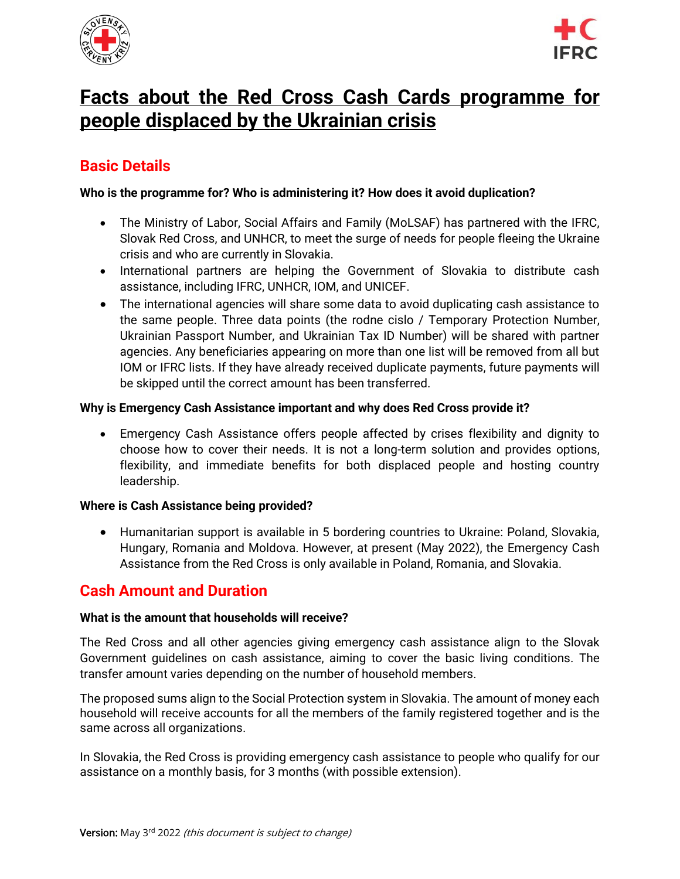



# **Facts about the Red Cross Cash Cards programme for people displaced by the Ukrainian crisis**

## **Basic Details**

#### **Who is the programme for? Who is administering it? How does it avoid duplication?**

- The Ministry of Labor, Social Affairs and Family (MoLSAF) has partnered with the IFRC, Slovak Red Cross, and UNHCR, to meet the surge of needs for people fleeing the Ukraine crisis and who are currently in Slovakia.
- International partners are helping the Government of Slovakia to distribute cash assistance, including IFRC, UNHCR, IOM, and UNICEF.
- The international agencies will share some data to avoid duplicating cash assistance to the same people. Three data points (the rodne cislo / Temporary Protection Number, Ukrainian Passport Number, and Ukrainian Tax ID Number) will be shared with partner agencies. Any beneficiaries appearing on more than one list will be removed from all but IOM or IFRC lists. If they have already received duplicate payments, future payments will be skipped until the correct amount has been transferred.

#### **Why is Emergency Cash Assistance important and why does Red Cross provide it?**

• Emergency Cash Assistance offers people affected by crises flexibility and dignity to choose how to cover their needs. It is not a long-term solution and provides options, flexibility, and immediate benefits for both displaced people and hosting country leadership.

#### **Where is Cash Assistance being provided?**

• Humanitarian support is available in 5 bordering countries to Ukraine: Poland, Slovakia, Hungary, Romania and Moldova. However, at present (May 2022), the Emergency Cash Assistance from the Red Cross is only available in Poland, Romania, and Slovakia.

## **Cash Amount and Duration**

#### **What is the amount that households will receive?**

The Red Cross and all other agencies giving emergency cash assistance align to the Slovak Government guidelines on cash assistance, aiming to cover the basic living conditions. The transfer amount varies depending on the number of household members.

The proposed sums align to the Social Protection system in Slovakia. The amount of money each household will receive accounts for all the members of the family registered together and is the same across all organizations.

In Slovakia, the Red Cross is providing emergency cash assistance to people who qualify for our assistance on a monthly basis, for 3 months (with possible extension).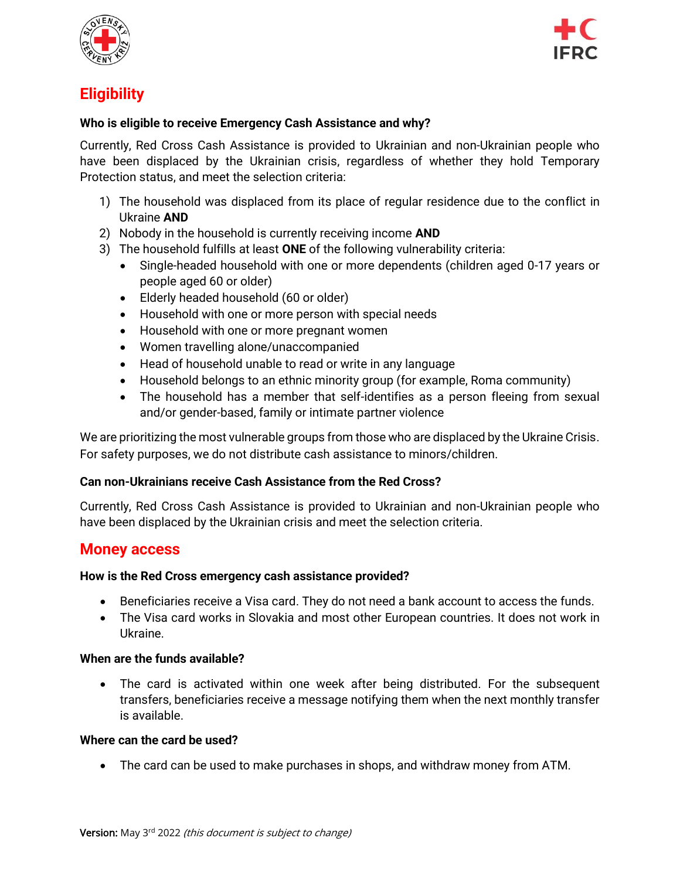



## **Eligibility**

#### **Who is eligible to receive Emergency Cash Assistance and why?**

Currently, Red Cross Cash Assistance is provided to Ukrainian and non-Ukrainian people who have been displaced by the Ukrainian crisis, regardless of whether they hold Temporary Protection status, and meet the selection criteria:

- 1) The household was displaced from its place of regular residence due to the conflict in Ukraine **AND**
- 2) Nobody in the household is currently receiving income **AND**
- 3) The household fulfills at least **ONE** of the following vulnerability criteria:
	- Single-headed household with one or more dependents (children aged 0-17 years or people aged 60 or older)
	- Elderly headed household (60 or older)
	- Household with one or more person with special needs
	- Household with one or more pregnant women
	- Women travelling alone/unaccompanied
	- Head of household unable to read or write in any language
	- Household belongs to an ethnic minority group (for example, Roma community)
	- The household has a member that self-identifies as a person fleeing from sexual and/or gender-based, family or intimate partner violence

We are prioritizing the most vulnerable groups from those who are displaced by the Ukraine Crisis. For safety purposes, we do not distribute cash assistance to minors/children.

#### **Can non-Ukrainians receive Cash Assistance from the Red Cross?**

Currently, Red Cross Cash Assistance is provided to Ukrainian and non-Ukrainian people who have been displaced by the Ukrainian crisis and meet the selection criteria.

### **Money access**

#### **How is the Red Cross emergency cash assistance provided?**

- Beneficiaries receive a Visa card. They do not need a bank account to access the funds.
- The Visa card works in Slovakia and most other European countries. It does not work in Ukraine.

#### **When are the funds available?**

• The card is activated within one week after being distributed. For the subsequent transfers, beneficiaries receive a message notifying them when the next monthly transfer is available.

#### **Where can the card be used?**

• The card can be used to make purchases in shops, and withdraw money from ATM.